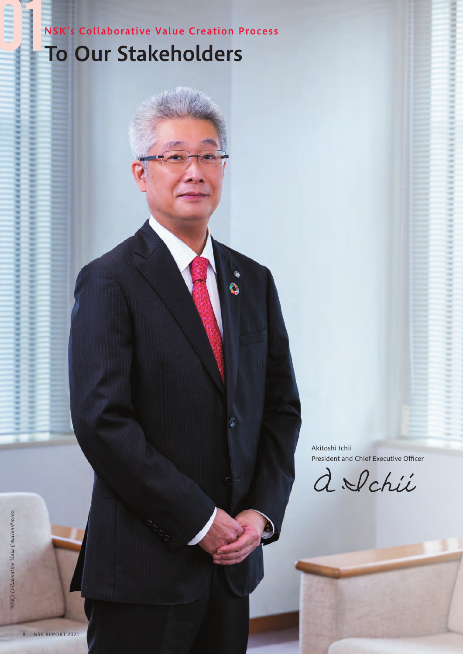NSK's Collaborative Value Creation Process To Our Stakeholders

Ò

G

Akitoshi Ichii President and Chief Executive Officer

d Schie

8 NSK REPORT 2021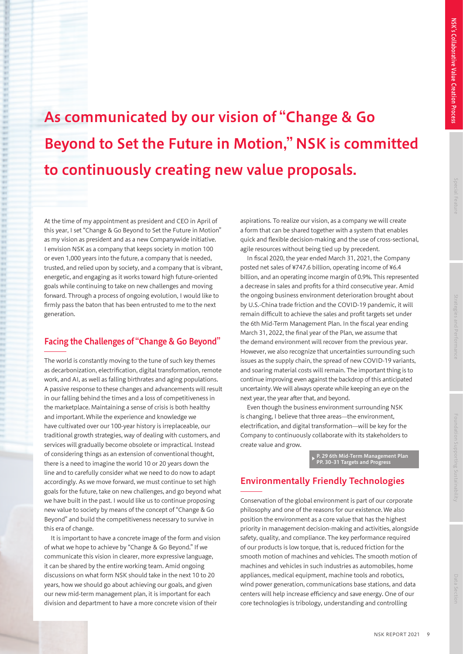# As communicated by our vision of "Change & Go Beyond to Set the Future in Motion," NSK is committed to continuously creating new value proposals.

At the time of my appointment as president and CEO in April of this year, I set "Change & Go Beyond to Set the Future in Motion" as my vision as president and as a new Companywide initiative. I envision NSK as a company that keeps society in motion 100 or even 1,000 years into the future, a company that is needed, trusted, and relied upon by society, and a company that is vibrant, energetic, and engaging as it works toward high future-oriented goals while continuing to take on new challenges and moving forward. Through a process of ongoing evolution, I would like to firmly pass the baton that has been entrusted to me to the next generation.

#### Facing the Challenges of "Change & Go Beyond"

The world is constantly moving to the tune of such key themes as decarbonization, electrification, digital transformation, remote work, and AI, as well as falling birthrates and aging populations. A passive response to these changes and advancements will result in our falling behind the times and a loss of competitiveness in the marketplace. Maintaining a sense of crisis is both healthy and important. While the experience and knowledge we have cultivated over our 100-year history is irreplaceable, our traditional growth strategies, way of dealing with customers, and services will gradually become obsolete or impractical. Instead of considering things as an extension of conventional thought, there is a need to imagine the world 10 or 20 years down the line and to carefully consider what we need to do now to adapt accordingly. As we move forward, we must continue to set high goals for the future, take on new challenges, and go beyond what we have built in the past. I would like us to continue proposing new value to society by means of the concept of "Change & Go Beyond" and build the competitiveness necessary to survive in this era of change.

It is important to have a concrete image of the form and vision of what we hope to achieve by "Change & Go Beyond." If we communicate this vision in clearer, more expressive language, it can be shared by the entire working team. Amid ongoing discussions on what form NSK should take in the next 10 to 20 years, how we should go about achieving our goals, and given our new mid-term management plan, it is important for each division and department to have a more concrete vision of their

aspirations. To realize our vision, as a company we will create a form that can be shared together with a system that enables quick and flexible decision-making and the use of cross-sectional, agile resources without being tied up by precedent.

In fiscal 2020, the year ended March 31, 2021, the Company posted net sales of ¥747.6 billion, operating income of ¥6.4 billion, and an operating income margin of 0.9%. This represented a decrease in sales and profits for a third consecutive year. Amid the ongoing business environment deterioration brought about by U.S.-China trade friction and the COVID-19 pandemic, it will remain difficult to achieve the sales and profit targets set under the 6th Mid-Term Management Plan. In the fiscal year ending March 31, 2022, the final year of the Plan, we assume that the demand environment will recover from the previous year. However, we also recognize that uncertainties surrounding such issues as the supply chain, the spread of new COVID-19 variants, and soaring material costs will remain. The important thing is to continue improving even against the backdrop of this anticipated uncertainty. We will always operate while keeping an eye on the next year, the year after that, and beyond.

Even though the business environment surrounding NSK is changing, I believe that three areas—the environment, electrification, and digital transformation—will be key for the Company to continuously collaborate with its stakeholders to create value and grow.

▶ P. 29 6th Mid-Term Management Plan PP. 30–31 Targets and Progress

### Environmentally Friendly Technologies

9

Conservation of the global environment is part of our corporate philosophy and one of the reasons for our existence. We also position the environment as a core value that has the highest priority in management decision-making and activities, alongside safety, quality, and compliance. The key performance required of our products is low torque, that is, reduced friction for the smooth motion of machines and vehicles. The smooth motion of machines and vehicles in such industries as automobiles, home appliances, medical equipment, machine tools and robotics, wind power generation, communications base stations, and data centers will help increase efficiency and save energy. One of our core technologies is tribology, understanding and controlling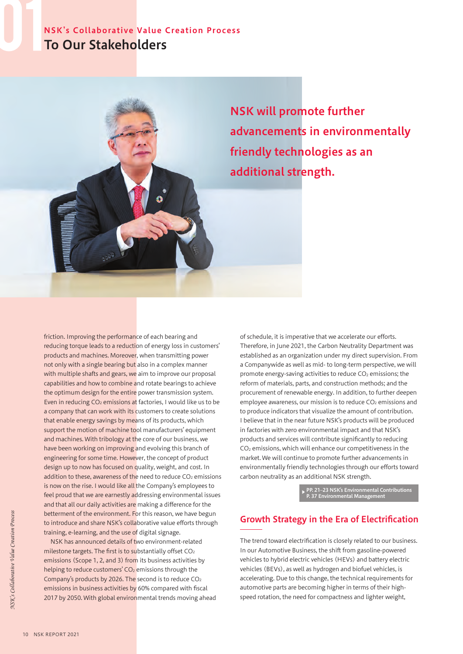# NSK's Collaborative Value Creation Process To Our Stakeholders



NSK will promote further advancements in environmentally friendly technologies as an

friction. Improving the performance of each bearing and reducing torque leads to a reduction of energy loss in customers' products and machines. Moreover, when transmitting power not only with a single bearing but also in a complex manner with multiple shafts and gears, we aim to improve our proposal capabilities and how to combine and rotate bearings to achieve the optimum design for the entire power transmission system. Even in reducing CO<sub>2</sub> emissions at factories, I would like us to be a company that can work with its customers to create solutions that enable energy savings by means of its products, which support the motion of machine tool manufacturers' equipment and machines. With tribology at the core of our business, we have been working on improving and evolving this branch of engineering for some time. However, the concept of product design up to now has focused on quality, weight, and cost. In addition to these, awareness of the need to reduce  $CO<sub>2</sub>$  emissions is now on the rise. I would like all the Company's employees to feel proud that we are earnestly addressing environmental issues and that all our daily activities are making a difference for the betterment of the environment. For this reason, we have begun to introduce and share NSK's collaborative value efforts through training, e-learning, and the use of digital signage.

NSK has announced details of two environment-related milestone targets. The first is to substantially offset CO2 emissions (Scope 1, 2, and 3) from its business activities by helping to reduce customers'  $CO<sub>2</sub>$  emissions through the Company's products by 2026. The second is to reduce CO2 emissions in business activities by 60% compared with fiscal 2017 by 2050. With global environmental trends moving ahead of schedule, it is imperative that we accelerate our efforts. Therefore, in June 2021, the Carbon Neutrality Department was established as an organization under my direct supervision. From a Companywide as well as mid- to long-term perspective, we will promote energy-saving activities to reduce CO<sub>2</sub> emissions; the reform of materials, parts, and construction methods; and the procurement of renewable energy. In addition, to further deepen employee awareness, our mission is to reduce CO<sub>2</sub> emissions and to produce indicators that visualize the amount of contribution. I believe that in the near future NSK's products will be produced in factories with zero environmental impact and that NSK's products and services will contribute significantly to reducing CO2 emissions, which will enhance our competitiveness in the market. We will continue to promote further advancements in environmentally friendly technologies through our efforts toward carbon neutrality as an additional NSK strength.

▶ PP. 21–23 NSK's Environmental Contributions P. 37 Environmental Management

## Growth Strategy in the Era of Electrification

The trend toward electrification is closely related to our business. In our Automotive Business, the shift from gasoline-powered vehicles to hybrid electric vehicles (HEVs) and battery electric vehicles (BEVs), as well as hydrogen and biofuel vehicles, is accelerating. Due to this change, the technical requirements for automotive parts are becoming higher in terms of their highspeed rotation, the need for compactness and lighter weight,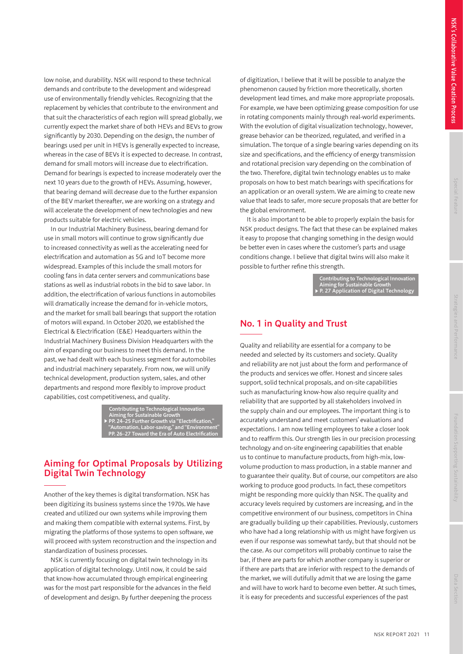low noise, and durability. NSK will respond to these technical demands and contribute to the development and widespread use of environmentally friendly vehicles. Recognizing that the replacement by vehicles that contribute to the environment and that suit the characteristics of each region will spread globally, we currently expect the market share of both HEVs and BEVs to grow significantly by 2030. Depending on the design, the number of bearings used per unit in HEVs is generally expected to increase, whereas in the case of BEVs it is expected to decrease. In contrast, demand for small motors will increase due to electrification. Demand for bearings is expected to increase moderately over the next 10 years due to the growth of HEVs. Assuming, however, that bearing demand will decrease due to the further expansion of the BEV market thereafter, we are working on a strategy and will accelerate the development of new technologies and new products suitable for electric vehicles.

In our Industrial Machinery Business, bearing demand for use in small motors will continue to grow significantly due to increased connectivity as well as the accelerating need for electrification and automation as 5G and IoT become more widespread. Examples of this include the small motors for cooling fans in data center servers and communications base stations as well as industrial robots in the bid to save labor. In addition, the electrification of various functions in automobiles will dramatically increase the demand for in-vehicle motors. and the market for small ball bearings that support the rotation of motors will expand. In October 2020, we established the Electrical & Electrification (E&E) Headquarters within the Industrial Machinery Business Division Headquarters with the aim of expanding our business to meet this demand. In the past, we had dealt with each business segment for automobiles and industrial machinery separately. From now, we will unify technical development, production system, sales, and other departments and respond more flexibly to improve product capabilities, cost competitiveness, and quality.

> Contributing to Technological Innovation Aiming for Sustainable Growth ▶ PP. 24–25 Further Growth via "Electrification," "Automation, Labor-saving," and "Environment" PP. 26–27 Toward the Era of Auto Electrification

#### Aiming for Optimal Proposals by Utilizing Digital Twin Technology

Another of the key themes is digital transformation. NSK has been digitizing its business systems since the 1970s. We have created and utilized our own systems while improving them and making them compatible with external systems. First, by migrating the platforms of those systems to open software, we will proceed with system reconstruction and the inspection and standardization of business processes.

NSK is currently focusing on digital twin technology in its application of digital technology. Until now, it could be said that know-how accumulated through empirical engineering was for the most part responsible for the advances in the field of development and design. By further deepening the process of digitization, I believe that it will be possible to analyze the phenomenon caused by friction more theoretically, shorten development lead times, and make more appropriate proposals. For example, we have been optimizing grease composition for use in rotating components mainly through real-world experiments. With the evolution of digital visualization technology, however, grease behavior can be theorized, regulated, and verified in a simulation. The torque of a single bearing varies depending on its size and specifications, and the efficiency of energy transmission and rotational precision vary depending on the combination of the two. Therefore, digital twin technology enables us to make proposals on how to best match bearings with specifications for an application or an overall system. We are aiming to create new value that leads to safer, more secure proposals that are better for the global environment.

It is also important to be able to properly explain the basis for NSK product designs. The fact that these can be explained makes it easy to propose that changing something in the design would be better even in cases where the customer's parts and usage conditions change. I believe that digital twins will also make it possible to further refine this strength.

> Contributing to Technological Innovation Aiming for Sustainable Growth of Castron of Digital Technolo

# No. 1 in Quality and Trust

e.

Quality and reliability are essential for a company to be needed and selected by its customers and society. Quality and reliability are not just about the form and performance of the products and services we offer. Honest and sincere sales support, solid technical proposals, and on-site capabilities such as manufacturing know-how also require quality and reliability that are supported by all stakeholders involved in the supply chain and our employees. The important thing is to accurately understand and meet customers' evaluations and expectations. I am now telling employees to take a closer look and to reaffirm this. Our strength lies in our precision processing technology and on-site engineering capabilities that enable us to continue to manufacture products, from high-mix, lowvolume production to mass production, in a stable manner and to guarantee their quality. But of course, our competitors are also working to produce good products. In fact, these competitors might be responding more quickly than NSK. The quality and accuracy levels required by customers are increasing, and in the competitive environment of our business, competitors in China are gradually building up their capabilities. Previously, customers who have had a long relationship with us might have forgiven us even if our response was somewhat tardy, but that should not be the case. As our competitors will probably continue to raise the bar, if there are parts for which another company is superior or if there are parts that are inferior with respect to the demands of the market, we will dutifully admit that we are losing the game and will have to work hard to become even better. At such times, it is easy for precedents and successful experiences of the past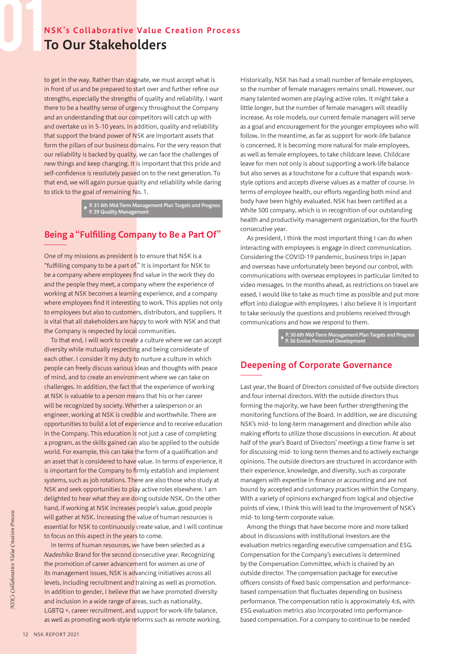# NSK's Collaborative Value Creation Process To Our Stakeholders

to get in the way. Rather than stagnate, we must accept what is in front of us and be prepared to start over and further refine our strengths, especially the strengths of quality and reliability. I want there to be a healthy sense of urgency throughout the Company and an understanding that our competitors will catch up with and overtake us in 5–10 years. In addition, quality and reliability that support the brand power of NSK are important assets that form the pillars of our business domains. For the very reason that our reliability is backed by quality, we can face the challenges of new things and keep changing. It is important that this pride and self-confidence is resolutely passed on to the next generation. To that end, we will again pursue quality and reliability while daring to stick to the goal of remaining No. 1.

▶ P. 31 6th Mid-Term Management Plan Targets and Progress P. 39 Quality Management

# Being a "Fulfilling Company to Be a Part Of"

One of my missions as president is to ensure that NSK is a "fulfilling company to be a part of." It is important for NSK to be a company where employees find value in the work they do and the people they meet, a company where the experience of working at NSK becomes a learning experience, and a company where employees find it interesting to work. This applies not only to employees but also to customers, distributors, and suppliers. It is vital that all stakeholders are happy to work with NSK and that the Company is respected by local communities.

To that end, I will work to create a culture where we can accept diversity while mutually respecting and being considerate of each other. I consider it my duty to nurture a culture in which people can freely discuss various ideas and thoughts with peace of mind, and to create an environment where we can take on challenges. In addition, the fact that the experience of working at NSK is valuable to a person means that his or her career will be recognized by society. Whether a salesperson or an engineer, working at NSK is credible and worthwhile. There are opportunities to build a lot of experience and to receive education in the Company. This education is not just a case of completing a program, as the skills gained can also be applied to the outside world. For example, this can take the form of a qualification and an asset that is considered to have value. In terms of experience, it is important for the Company to firmly establish and implement systems, such as job rotations. There are also those who study at NSK and seek opportunities to play active roles elsewhere. I am delighted to hear what they are doing outside NSK. On the other hand, if working at NSK increases people's value, good people will gather at NSK. Increasing the value of human resources is essential for NSK to continuously create value, and I will continue to focus on this aspect in the years to come.

In terms of human resources, we have been selected as a Nadeshiko Brand for the second consecutive year. Recognizing the promotion of career advancement for women as one of its management issues, NSK is advancing initiatives across all levels, including recruitment and training as well as promotion. In addition to gender, I believe that we have promoted diversity and inclusion in a wide range of areas, such as nationality, LGBTQ +, career recruitment, and support for work-life balance, as well as promoting work-style reforms such as remote working.

Historically, NSK has had a small number of female employees, so the number of female managers remains small. However, our many talented women are playing active roles. It might take a little longer, but the number of female managers will steadily increase. As role models, our current female managers will serve as a goal and encouragement for the younger employees who will follow. In the meantime, as far as support for work-life balance is concerned, it is becoming more natural for male employees, as well as female employees, to take childcare leave. Childcare leave for men not only is about supporting a work-life balance but also serves as a touchstone for a culture that expands workstyle options and accepts diverse values as a matter of course. In terms of employee health, our efforts regarding both mind and body have been highly evaluated. NSK has been certified as a White 500 company, which is in recognition of our outstanding health and productivity management organization, for the fourth consecutive year.

As president, I think the most important thing I can do when interacting with employees is engage in direct communication. Considering the COVID-19 pandemic, business trips in Japan and overseas have unfortunately been beyond our control, with communications with overseas employees in particular limited to video messages. In the months ahead, as restrictions on travel are eased, I would like to take as much time as possible and put more effort into dialogue with employees. I also believe it is important to take seriously the questions and problems received through communications and how we respond to them.

▶ P. 30 6th Mid-Term Management Plan Targets and Progress P. 36 Evolve Personnel Development

#### Deepening of Corporate Governance

Last year, the Board of Directors consisted of five outside directors and four internal directors. With the outside directors thus forming the majority, we have been further strengthening the monitoring functions of the Board. In addition, we are discussing NSK's mid- to long-term management and direction while also making efforts to utilize those discussions in execution. At about half of the year's Board of Directors' meetings a time frame is set for discussing mid- to long-term themes and to actively exchange opinions. The outside directors are structured in accordance with their experience, knowledge, and diversity, such as corporate managers with expertise in finance or accounting and are not bound by accepted and customary practices within the Company. With a variety of opinions exchanged from logical and objective points of view, I think this will lead to the improvement of NSK's mid- to long-term corporate value.

Among the things that have become more and more talked about in discussions with institutional investors are the evaluation metrics regarding executive compensation and ESG. Compensation for the Company's executives is determined by the Compensation Committee, which is chaired by an outside director. The compensation package for executive officers consists of fixed basic compensation and performancebased compensation that fluctuates depending on business performance. The compensation ratio is approximately 4:6, with ESG evaluation metrics also incorporated into performancebased compensation. For a company to continue to be needed